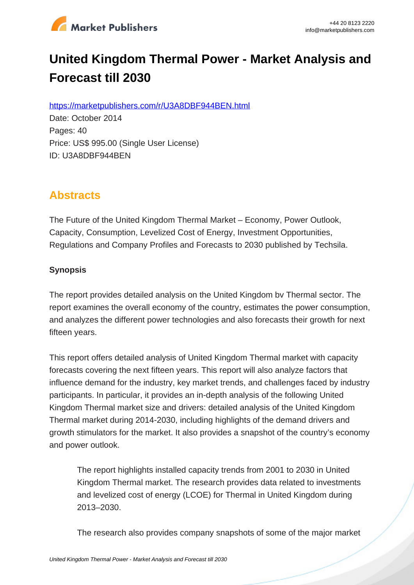

# **United Kingdom Thermal Power - Market Analysis and Forecast till 2030**

https://marketpublishers.com/r/U3A8DBF944BEN.html

Date: October 2014 Pages: 40 Price: US\$ 995.00 (Single User License) ID: U3A8DBF944BEN

## **Abstracts**

The Future of the United Kingdom Thermal Market – Economy, Power Outlook, Capacity, Consumption, Levelized Cost of Energy, Investment Opportunities, Regulations and Company Profiles and Forecasts to 2030 published by Techsila.

### **Synopsis**

The report provides detailed analysis on the United Kingdom bv Thermal sector. The report examines the overall economy of the country, estimates the power consumption, and analyzes the different power technologies and also forecasts their growth for next fifteen years.

This report offers detailed analysis of United Kingdom Thermal market with capacity forecasts covering the next fifteen years. This report will also analyze factors that influence demand for the industry, key market trends, and challenges faced by industry participants. In particular, it provides an in-depth analysis of the following United Kingdom Thermal market size and drivers: detailed analysis of the United Kingdom Thermal market during 2014-2030, including highlights of the demand drivers and growth stimulators for the market. It also provides a snapshot of the country's economy and power outlook.

The report highlights installed capacity trends from 2001 to 2030 in United Kingdom Thermal market. The research provides data related to investments and levelized cost of energy (LCOE) for Thermal in United Kingdom during 2013–2030.

The research also provides company snapshots of some of the major market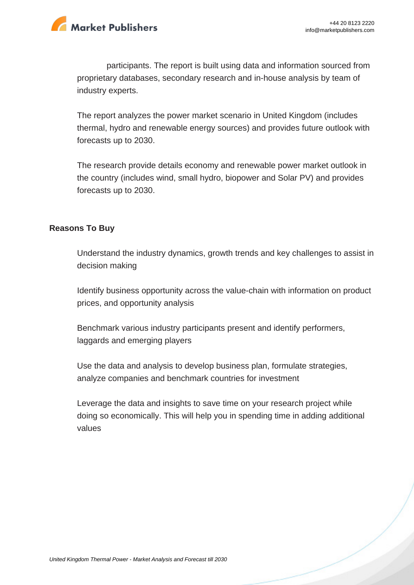

participants. The report is built using data and information sourced from proprietary databases, secondary research and in-house analysis by team of industry experts.

The report analyzes the power market scenario in United Kingdom (includes thermal, hydro and renewable energy sources) and provides future outlook with forecasts up to 2030.

The research provide details economy and renewable power market outlook in the country (includes wind, small hydro, biopower and Solar PV) and provides forecasts up to 2030.

#### **Reasons To Buy**

Understand the industry dynamics, growth trends and key challenges to assist in decision making

Identify business opportunity across the value-chain with information on product prices, and opportunity analysis

Benchmark various industry participants present and identify performers, laggards and emerging players

Use the data and analysis to develop business plan, formulate strategies, analyze companies and benchmark countries for investment

Leverage the data and insights to save time on your research project while doing so economically. This will help you in spending time in adding additional values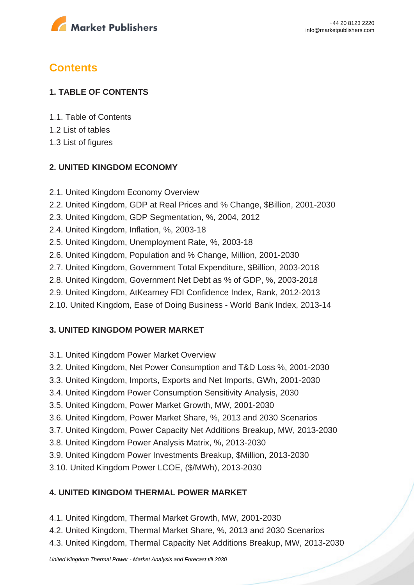

# **Contents**

#### **1. TABLE OF CONTENTS**

- 1.1. Table of Contents
- 1.2 List of tables
- 1.3 List of figures

#### **2. UNITED KINGDOM ECONOMY**

- 2.1. United Kingdom Economy Overview
- 2.2. United Kingdom, GDP at Real Prices and % Change, \$Billion, 2001-2030
- 2.3. United Kingdom, GDP Segmentation, %, 2004, 2012
- 2.4. United Kingdom, Inflation, %, 2003-18
- 2.5. United Kingdom, Unemployment Rate, %, 2003-18
- 2.6. United Kingdom, Population and % Change, Million, 2001-2030
- 2.7. United Kingdom, Government Total Expenditure, \$Billion, 2003-2018
- 2.8. United Kingdom, Government Net Debt as % of GDP, %, 2003-2018
- 2.9. United Kingdom, AtKearney FDI Confidence Index, Rank, 2012-2013
- 2.10. United Kingdom, Ease of Doing Business World Bank Index, 2013-14

#### **3. UNITED KINGDOM POWER MARKET**

- 3.1. United Kingdom Power Market Overview
- 3.2. United Kingdom, Net Power Consumption and T&D Loss %, 2001-2030
- 3.3. United Kingdom, Imports, Exports and Net Imports, GWh, 2001-2030
- 3.4. United Kingdom Power Consumption Sensitivity Analysis, 2030
- 3.5. United Kingdom, Power Market Growth, MW, 2001-2030
- 3.6. United Kingdom, Power Market Share, %, 2013 and 2030 Scenarios
- 3.7. United Kingdom, Power Capacity Net Additions Breakup, MW, 2013-2030
- 3.8. United Kingdom Power Analysis Matrix, %, 2013-2030
- 3.9. United Kingdom Power Investments Breakup, \$Million, 2013-2030
- 3.10. United Kingdom Power LCOE, (\$/MWh), 2013-2030

#### **4. UNITED KINGDOM THERMAL POWER MARKET**

- 4.1. United Kingdom, Thermal Market Growth, MW, 2001-2030
- 4.2. United Kingdom, Thermal Market Share, %, 2013 and 2030 Scenarios
- 4.3. United Kingdom, Thermal Capacity Net Additions Breakup, MW, 2013-2030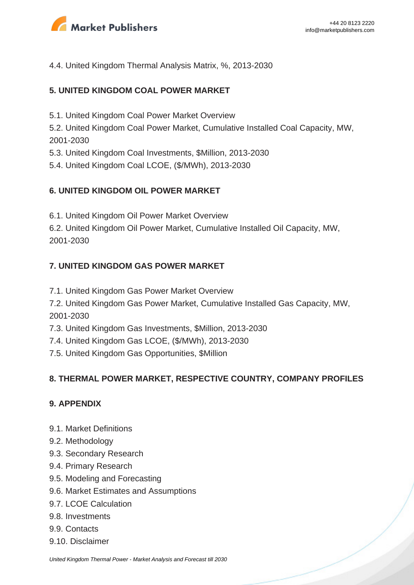

4.4. United Kingdom Thermal Analysis Matrix, %, 2013-2030

#### **5. UNITED KINGDOM COAL POWER MARKET**

5.1. United Kingdom Coal Power Market Overview

5.2. United Kingdom Coal Power Market, Cumulative Installed Coal Capacity, MW, 2001-2030

5.3. United Kingdom Coal Investments, \$Million, 2013-2030

5.4. United Kingdom Coal LCOE, (\$/MWh), 2013-2030

#### **6. UNITED KINGDOM OIL POWER MARKET**

6.1. United Kingdom Oil Power Market Overview

6.2. United Kingdom Oil Power Market, Cumulative Installed Oil Capacity, MW, 2001-2030

#### **7. UNITED KINGDOM GAS POWER MARKET**

7.1. United Kingdom Gas Power Market Overview

7.2. United Kingdom Gas Power Market, Cumulative Installed Gas Capacity, MW, 2001-2030

7.3. United Kingdom Gas Investments, \$Million, 2013-2030

7.4. United Kingdom Gas LCOE, (\$/MWh), 2013-2030

7.5. United Kingdom Gas Opportunities, \$Million

#### **8. THERMAL POWER MARKET, RESPECTIVE COUNTRY, COMPANY PROFILES**

#### **9. APPENDIX**

- 9.1. Market Definitions
- 9.2. Methodology
- 9.3. Secondary Research
- 9.4. Primary Research
- 9.5. Modeling and Forecasting
- 9.6. Market Estimates and Assumptions
- 9.7. LCOE Calculation
- 9.8. Investments
- 9.9. Contacts
- 9.10. Disclaimer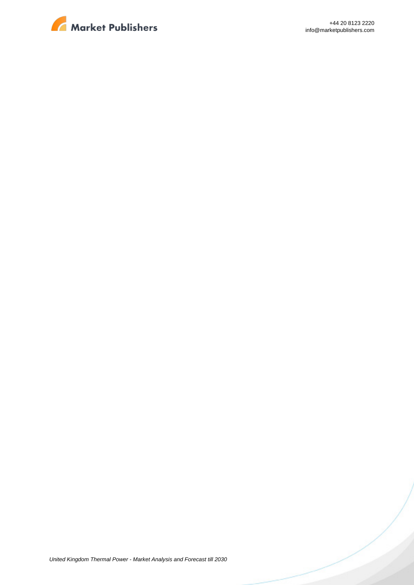

[United Kingdom Thermal Power - Market Analysis and Forecast till 2030](https://marketpublishers.com/report/energy/thermal_power/united-kingdom-thermal-power-market-analysis-n-forecast-till-2030.html)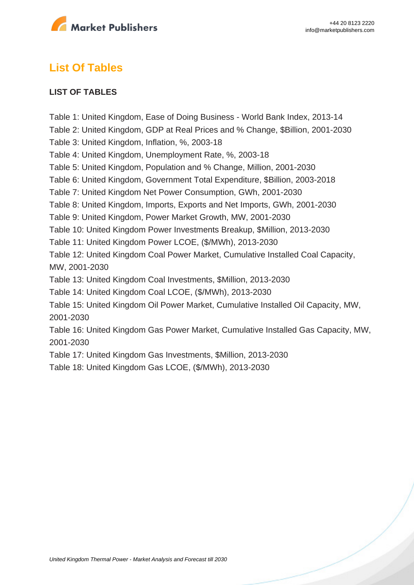

### **List Of Tables**

#### **LIST OF TABLES**

Table 1: United Kingdom, Ease of Doing Business - World Bank Index, 2013-14 Table 2: United Kingdom, GDP at Real Prices and % Change, \$Billion, 2001-2030 Table 3: United Kingdom, Inflation, %, 2003-18 Table 4: United Kingdom, Unemployment Rate, %, 2003-18 Table 5: United Kingdom, Population and % Change, Million, 2001-2030 Table 6: United Kingdom, Government Total Expenditure, \$Billion, 2003-2018 Table 7: United Kingdom Net Power Consumption, GWh, 2001-2030 Table 8: United Kingdom, Imports, Exports and Net Imports, GWh, 2001-2030 Table 9: United Kingdom, Power Market Growth, MW, 2001-2030 Table 10: United Kingdom Power Investments Breakup, \$Million, 2013-2030 Table 11: United Kingdom Power LCOE, (\$/MWh), 2013-2030 Table 12: United Kingdom Coal Power Market, Cumulative Installed Coal Capacity, MW, 2001-2030 Table 13: United Kingdom Coal Investments, \$Million, 2013-2030 Table 14: United Kingdom Coal LCOE, (\$/MWh), 2013-2030 Table 15: United Kingdom Oil Power Market, Cumulative Installed Oil Capacity, MW, 2001-2030 Table 16: United Kingdom Gas Power Market, Cumulative Installed Gas Capacity, MW, 2001-2030

Table 17: United Kingdom Gas Investments, \$Million, 2013-2030

Table 18: United Kingdom Gas LCOE, (\$/MWh), 2013-2030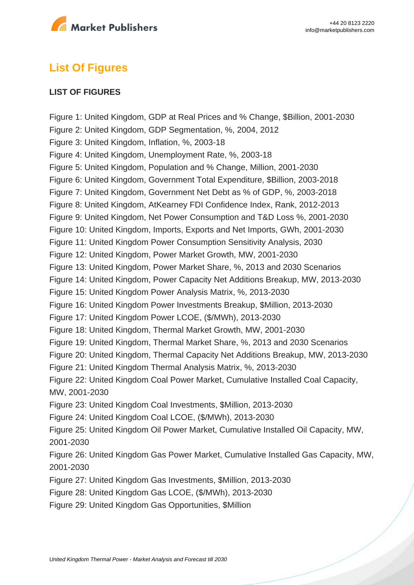

# **List Of Figures**

#### **LIST OF FIGURES**

Figure 1: United Kingdom, GDP at Real Prices and % Change, \$Billion, 2001-2030 Figure 2: United Kingdom, GDP Segmentation, %, 2004, 2012 Figure 3: United Kingdom, Inflation, %, 2003-18 Figure 4: United Kingdom, Unemployment Rate, %, 2003-18 Figure 5: United Kingdom, Population and % Change, Million, 2001-2030 Figure 6: United Kingdom, Government Total Expenditure, \$Billion, 2003-2018 Figure 7: United Kingdom, Government Net Debt as % of GDP, %, 2003-2018 Figure 8: United Kingdom, AtKearney FDI Confidence Index, Rank, 2012-2013 Figure 9: United Kingdom, Net Power Consumption and T&D Loss %, 2001-2030 Figure 10: United Kingdom, Imports, Exports and Net Imports, GWh, 2001-2030 Figure 11: United Kingdom Power Consumption Sensitivity Analysis, 2030 Figure 12: United Kingdom, Power Market Growth, MW, 2001-2030 Figure 13: United Kingdom, Power Market Share, %, 2013 and 2030 Scenarios Figure 14: United Kingdom, Power Capacity Net Additions Breakup, MW, 2013-2030 Figure 15: United Kingdom Power Analysis Matrix, %, 2013-2030 Figure 16: United Kingdom Power Investments Breakup, \$Million, 2013-2030 Figure 17: United Kingdom Power LCOE, (\$/MWh), 2013-2030 Figure 18: United Kingdom, Thermal Market Growth, MW, 2001-2030 Figure 19: United Kingdom, Thermal Market Share, %, 2013 and 2030 Scenarios Figure 20: United Kingdom, Thermal Capacity Net Additions Breakup, MW, 2013-2030 Figure 21: United Kingdom Thermal Analysis Matrix, %, 2013-2030 Figure 22: United Kingdom Coal Power Market, Cumulative Installed Coal Capacity, MW, 2001-2030 Figure 23: United Kingdom Coal Investments, \$Million, 2013-2030 Figure 24: United Kingdom Coal LCOE, (\$/MWh), 2013-2030 Figure 25: United Kingdom Oil Power Market, Cumulative Installed Oil Capacity, MW, 2001-2030 Figure 26: United Kingdom Gas Power Market, Cumulative Installed Gas Capacity, MW, 2001-2030 Figure 27: United Kingdom Gas Investments, \$Million, 2013-2030 Figure 28: United Kingdom Gas LCOE, (\$/MWh), 2013-2030

Figure 29: United Kingdom Gas Opportunities, \$Million